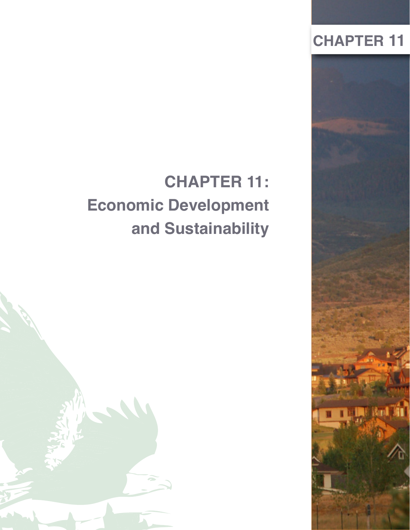# **CHAPTER 11**



# **CHAPTER 11: Economic Development and Sustainability**

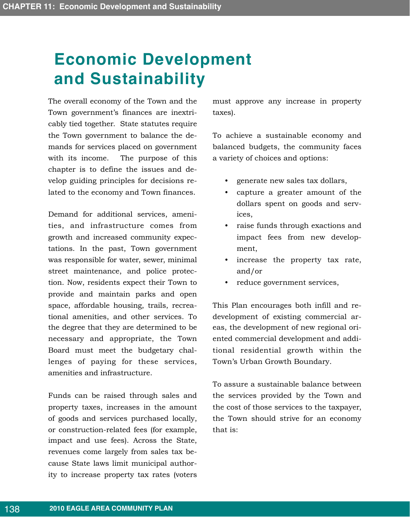# **Economic Development and Sustainability**

The overall economy of the Town and the Town government's finances are inextricably tied together. State statutes require the Town government to balance the demands for services placed on government with its income. The purpose of this chapter is to define the issues and develop guiding principles for decisions related to the economy and Town finances.

Demand for additional services, amenities, and infrastructure comes from growth and increased community expectations. In the past, Town government was responsible for water, sewer, minimal street maintenance, and police protection. Now, residents expect their Town to provide and maintain parks and open space, affordable housing, trails, recreational amenities, and other services. To the degree that they are determined to be necessary and appropriate, the Town Board must meet the budgetary challenges of paying for these services, amenities and infrastructure.

Funds can be raised through sales and property taxes, increases in the amount of goods and services purchased locally, or construction-related fees (for example, impact and use fees). Across the State, revenues come largely from sales tax because State laws limit municipal authority to increase property tax rates (voters

must approve any increase in property taxes).

To achieve a sustainable economy and balanced budgets, the community faces a variety of choices and options:

- generate new sales tax dollars,
- capture a greater amount of the dollars spent on goods and services,
- raise funds through exactions and impact fees from new development,
- increase the property tax rate, and/or
- reduce government services,

This Plan encourages both infill and redevelopment of existing commercial areas, the development of new regional oriented commercial development and additional residential growth within the Town's Urban Growth Boundary.

To assure a sustainable balance between the services provided by the Town and the cost of those services to the taxpayer, the Town should strive for an economy that is: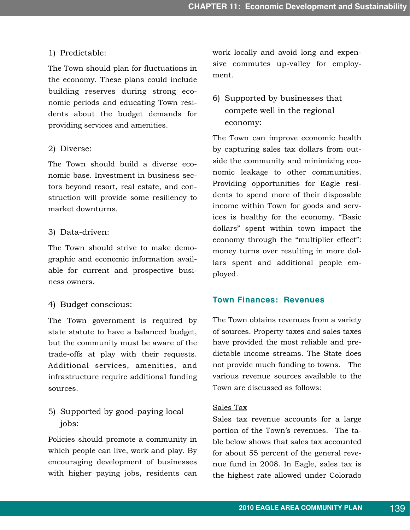#### 1) Predictable:

The Town should plan for fluctuations in the economy. These plans could include building reserves during strong economic periods and educating Town residents about the budget demands for providing services and amenities.

#### 2) Diverse:

The Town should build a diverse economic base. Investment in business sectors beyond resort, real estate, and construction will provide some resiliency to market downturns.

#### 3) Data-driven:

The Town should strive to make demographic and economic information available for current and prospective business owners.

#### 4) Budget conscious:

The Town government is required by state statute to have a balanced budget, but the community must be aware of the trade-offs at play with their requests. Additional services, amenities, and infrastructure require additional funding sources.

## 5) Supported by good-paying local jobs:

Policies should promote a community in which people can live, work and play. By encouraging development of businesses with higher paying jobs, residents can

work locally and avoid long and expensive commutes up-valley for employment.

## 6) Supported by businesses that compete well in the regional economy:

The Town can improve economic health by capturing sales tax dollars from outside the community and minimizing economic leakage to other communities. Providing opportunities for Eagle residents to spend more of their disposable income within Town for goods and services is healthy for the economy. "Basic dollars" spent within town impact the economy through the "multiplier effect": money turns over resulting in more dollars spent and additional people employed.

### **Town Finances: Revenues**

The Town obtains revenues from a variety of sources. Property taxes and sales taxes have provided the most reliable and predictable income streams. The State does not provide much funding to towns. The various revenue sources available to the Town are discussed as follows:

#### Sales Tax

Sales tax revenue accounts for a large portion of the Town's revenues. The table below shows that sales tax accounted for about 55 percent of the general revenue fund in 2008. In Eagle, sales tax is the highest rate allowed under Colorado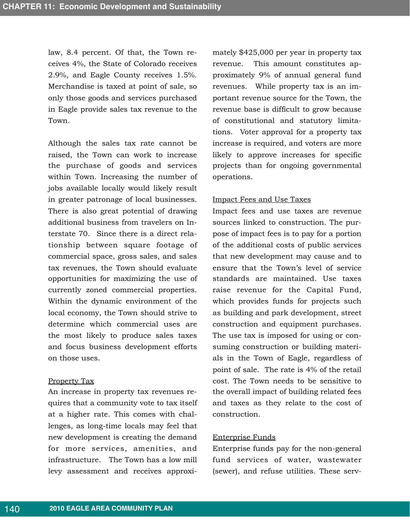law, 8.4 percent. Of that, the Town receives 4%, the State of Colorado receives 2.9%, and Eagle County receives 1.5%. Merchandise is taxed at point of sale, so only those goods and services purchased in Eagle provide sales tax revenue to the Town.

Although the sales tax rate cannot be raised, the Town can work to increase the purchase of goods and services within Town. Increasing the number of jobs available locally would likely result in greater patronage of local businesses. There is also great potential of drawing additional business from travelers on Interstate 70. Since there is a direct relationship between square footage of commercial space, gross sales, and sales tax revenues, the Town should evaluate opportunities for maximizing the use of currently zoned commercial properties. Within the dynamic environment of the local economy, the Town should strive to determine which commercial uses are the most likely to produce sales taxes and focus business development efforts on those uses.

#### Property Tax

An increase in property tax revenues requires that a community vote to tax itself at a higher rate. This comes with challenges, as long-time locals may feel that new development is creating the demand for more services, amenities, and infrastructure. The Town has a low mill levy assessment and receives approximately \$425,000 per year in property tax revenue. This amount constitutes approximately 9% of annual general fund revenues. While property tax is an important revenue source for the Town, the revenue base is difficult to grow because of constitutional and statutory limitations. Voter approval for a property tax increase is required, and voters are more likely to approve increases for specific projects than for ongoing governmental operations.

#### Impact Fees and Use Taxes

Impact fees and use taxes are revenue sources linked to construction. The purpose of impact fees is to pay for a portion of the additional costs of public services that new development may cause and to ensure that the Town's level of service standards are maintained. Use taxes raise revenue for the Capital Fund, which provides funds for projects such as building and park development, street construction and equipment purchases. The use tax is imposed for using or consuming construction or building materials in the Town of Eagle, regardless of point of sale. The rate is 4% of the retail cost. The Town needs to be sensitive to the overall impact of building related fees and taxes as they relate to the cost of construction.

#### Enterprise Funds

Enterprise funds pay for the non-general fund services of water, wastewater (sewer), and refuse utilities. These serv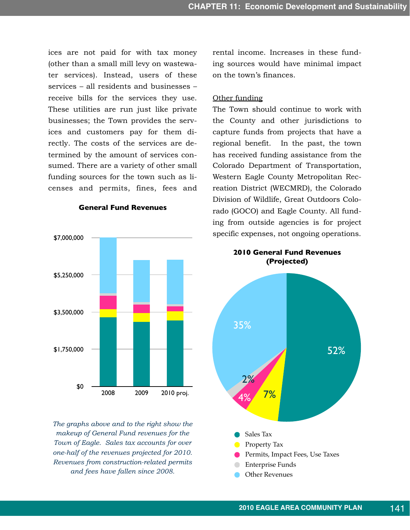ices are not paid for with tax money (other than a small mill levy on wastewater services). Instead, users of these services – all residents and businesses – receive bills for the services they use. These utilities are run just like private businesses; the Town provides the services and customers pay for them directly. The costs of the services are determined by the amount of services consumed. There are a variety of other small funding sources for the town such as licenses and permits, fines, fees and

**General Fund Revenues**



*The graphs above and to the right show the makeup of General Fund revenues for the Town of Eagle. Sales tax accounts for over one-half of the revenues projected for 2010. Revenues from construction-related permits and fees have fallen since 2008.*

rental income. Increases in these funding sources would have minimal impact on the town's finances.

#### Other funding

The Town should continue to work with the County and other jurisdictions to capture funds from projects that have a regional benefit. In the past, the town has received funding assistance from the Colorado Department of Transportation, Western Eagle County Metropolitan Recreation District (WECMRD), the Colorado Division of Wildlife, Great Outdoors Colorado (GOCO) and Eagle County. All funding from outside agencies is for project specific expenses, not ongoing operations.

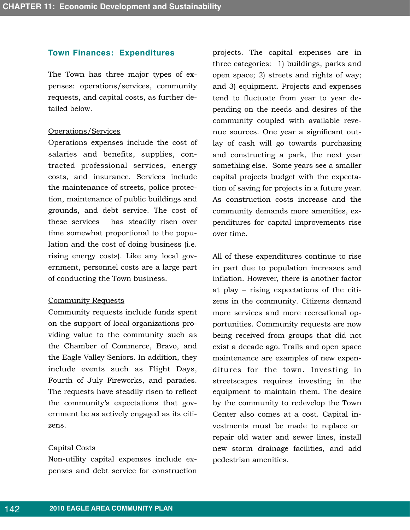#### **Town Finances: Expenditures**

The Town has three major types of expenses: operations/services, community requests, and capital costs, as further detailed below.

#### Operations/Services

Operations expenses include the cost of salaries and benefits, supplies, contracted professional services, energy costs, and insurance. Services include the maintenance of streets, police protection, maintenance of public buildings and grounds, and debt service. The cost of these services has steadily risen over time somewhat proportional to the population and the cost of doing business (i.e. rising energy costs). Like any local government, personnel costs are a large part of conducting the Town business.

#### Community Requests

Community requests include funds spent on the support of local organizations providing value to the community such as the Chamber of Commerce, Bravo, and the Eagle Valley Seniors. In addition, they include events such as Flight Days, Fourth of July Fireworks, and parades. The requests have steadily risen to reflect the community's expectations that government be as actively engaged as its citizens.

#### Capital Costs

Non-utility capital expenses include expenses and debt service for construction

projects. The capital expenses are in three categories: 1) buildings, parks and open space; 2) streets and rights of way; and 3) equipment. Projects and expenses tend to fluctuate from year to year depending on the needs and desires of the community coupled with available revenue sources. One year a significant outlay of cash will go towards purchasing and constructing a park, the next year something else. Some years see a smaller capital projects budget with the expectation of saving for projects in a future year. As construction costs increase and the community demands more amenities, expenditures for capital improvements rise over time.

All of these expenditures continue to rise in part due to population increases and inflation. However, there is another factor at play – rising expectations of the citizens in the community. Citizens demand more services and more recreational opportunities. Community requests are now being received from groups that did not exist a decade ago. Trails and open space maintenance are examples of new expenditures for the town. Investing in streetscapes requires investing in the equipment to maintain them. The desire by the community to redevelop the Town Center also comes at a cost. Capital investments must be made to replace or repair old water and sewer lines, install new storm drainage facilities, and add pedestrian amenities.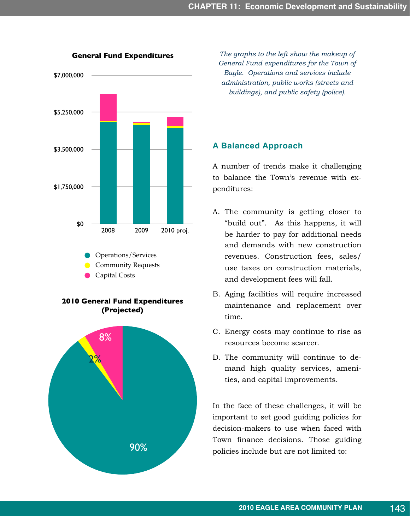

**2010 General Fund Expenditures (Projected)**



**General Fund Expenditures** *The graphs to the left show the makeup of General Fund expenditures for the Town of Eagle. Operations and services include administration, public works (streets and buildings), and public safety (police).*

### **A Balanced Approach**

A number of trends make it challenging to balance the Town's revenue with expenditures:

- A. The community is getting closer to "build out". As this happens, it will be harder to pay for additional needs and demands with new construction revenues. Construction fees, sales/ use taxes on construction materials, and development fees will fall.
- B. Aging facilities will require increased maintenance and replacement over time.
- C. Energy costs may continue to rise as resources become scarcer.
- D. The community will continue to demand high quality services, amenities, and capital improvements.

In the face of these challenges, it will be important to set good guiding policies for decision-makers to use when faced with Town finance decisions. Those guiding policies include but are not limited to: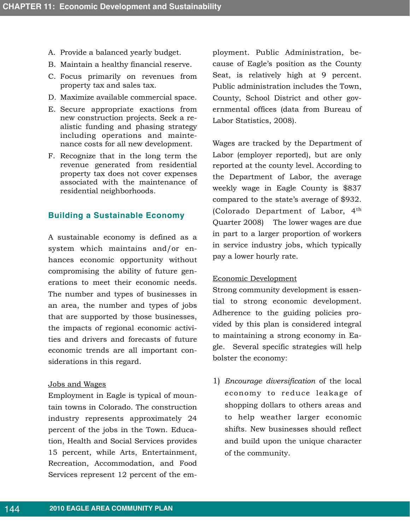- A. Provide a balanced yearly budget.
- B. Maintain a healthy financial reserve.
- C. Focus primarily on revenues from property tax and sales tax.
- D. Maximize available commercial space.
- E. Secure appropriate exactions from new construction projects. Seek a realistic funding and phasing strategy including operations and maintenance costs for all new development.
- F. Recognize that in the long term the revenue generated from residential property tax does not cover expenses associated with the maintenance of residential neighborhoods.

#### **Building a Sustainable Economy**

A sustainable economy is defined as a system which maintains and/or enhances economic opportunity without compromising the ability of future generations to meet their economic needs. The number and types of businesses in an area, the number and types of jobs that are supported by those businesses, the impacts of regional economic activities and drivers and forecasts of future economic trends are all important considerations in this regard.

#### Jobs and Wages

Employment in Eagle is typical of mountain towns in Colorado. The construction industry represents approximately 24 percent of the jobs in the Town. Education, Health and Social Services provides 15 percent, while Arts, Entertainment, Recreation, Accommodation, and Food Services represent 12 percent of the employment. Public Administration, because of Eagle's position as the County Seat, is relatively high at 9 percent. Public administration includes the Town, County, School District and other governmental offices (data from Bureau of Labor Statistics, 2008).

Wages are tracked by the Department of Labor (employer reported), but are only reported at the county level. According to the Department of Labor, the average weekly wage in Eagle County is \$837 compared to the state's average of \$932. (Colorado Department of Labor, 4<sup>th</sup> Quarter 2008) The lower wages are due in part to a larger proportion of workers in service industry jobs, which typically pay a lower hourly rate.

#### Economic Development

Strong community development is essential to strong economic development. Adherence to the guiding policies provided by this plan is considered integral to maintaining a strong economy in Eagle. Several specific strategies will help bolster the economy:

1) *Encourage diversification* of the local economy to reduce leakage of shopping dollars to others areas and to help weather larger economic shifts. New businesses should reflect and build upon the unique character of the community.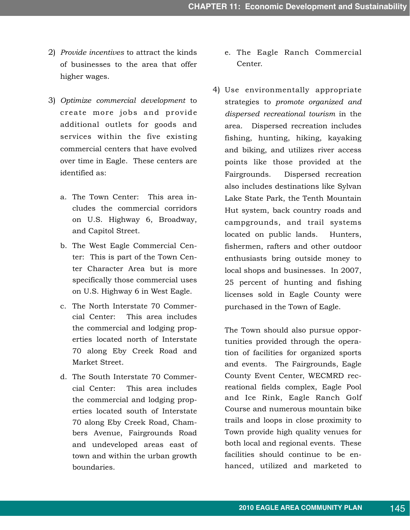- 2) *Provide incentives* to attract the kinds of businesses to the area that offer higher wages.
- 3) *Optimize commercial development* to create more jobs and provide additional outlets for goods and services within the five existing commercial centers that have evolved over time in Eagle. These centers are identified as:
	- a. The Town Center: This area includes the commercial corridors on U.S. Highway 6, Broadway, and Capitol Street.
	- b. The West Eagle Commercial Center: This is part of the Town Center Character Area but is more specifically those commercial uses on U.S. Highway 6 in West Eagle.
	- c. The North Interstate 70 Commercial Center: This area includes the commercial and lodging properties located north of Interstate 70 along Eby Creek Road and Market Street.
	- d. The South Interstate 70 Commercial Center: This area includes the commercial and lodging properties located south of Interstate 70 along Eby Creek Road, Chambers Avenue, Fairgrounds Road and undeveloped areas east of town and within the urban growth boundaries.
- e. The Eagle Ranch Commercial Center.
- 4) Use environmentally appropriate strategies to *promote organized and dispersed recreational tourism* in the area. Dispersed recreation includes fishing, hunting, hiking, kayaking and biking, and utilizes river access points like those provided at the Fairgrounds. Dispersed recreation also includes destinations like Sylvan Lake State Park, the Tenth Mountain Hut system, back country roads and campgrounds, and trail systems located on public lands. Hunters, fishermen, rafters and other outdoor enthusiasts bring outside money to local shops and businesses. In 2007, 25 percent of hunting and fishing licenses sold in Eagle County were purchased in the Town of Eagle.

The Town should also pursue opportunities provided through the operation of facilities for organized sports and events. The Fairgrounds, Eagle County Event Center, WECMRD recreational fields complex, Eagle Pool and Ice Rink, Eagle Ranch Golf Course and numerous mountain bike trails and loops in close proximity to Town provide high quality venues for both local and regional events. These facilities should continue to be enhanced, utilized and marketed to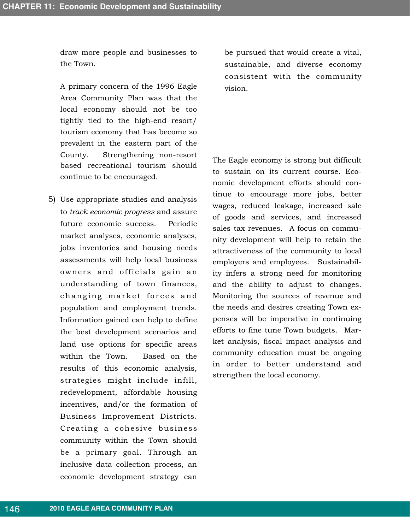draw more people and businesses to the Town.

A primary concern of the 1996 Eagle Area Community Plan was that the local economy should not be too tightly tied to the high-end resort/ tourism economy that has become so prevalent in the eastern part of the County. Strengthening non-resort based recreational tourism should continue to be encouraged.

5) Use appropriate studies and analysis to *track economic progress* and assure future economic success. Periodic market analyses, economic analyses, jobs inventories and housing needs assessments will help local business owners and of ficials gain an understanding of town finances, changing market forces and population and employment trends. Information gained can help to define the best development scenarios and land use options for specific areas within the Town. Based on the results of this economic analysis, strategies might include infill, redevelopment, affordable housing incentives, and/or the formation of Business Improvement Districts. Creating a cohesive business community within the Town should be a primary goal. Through an inclusive data collection process, an economic development strategy can

be pursued that would create a vital, sustainable, and diverse economy consistent with the community vision.

The Eagle economy is strong but difficult to sustain on its current course. Economic development efforts should continue to encourage more jobs, better wages, reduced leakage, increased sale of goods and services, and increased sales tax revenues. A focus on community development will help to retain the attractiveness of the community to local employers and employees. Sustainability infers a strong need for monitoring and the ability to adjust to changes. Monitoring the sources of revenue and the needs and desires creating Town expenses will be imperative in continuing efforts to fine tune Town budgets. Market analysis, fiscal impact analysis and community education must be ongoing in order to better understand and strengthen the local economy.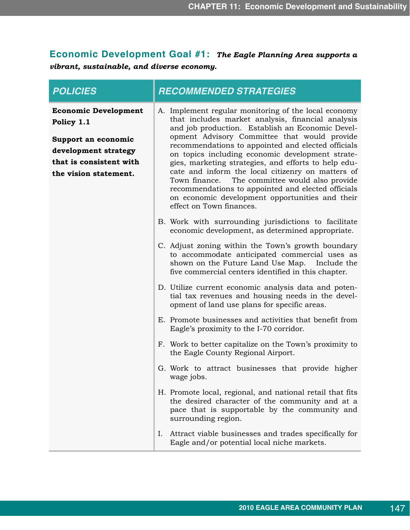## **Economic Development Goal #1:** *The Eagle Planning Area supports a vibrant, sustainable, and diverse economy.*

| <b>POLICIES</b>                                                                                                                              | <b>RECOMMENDED STRATEGIES</b>                                                                                                                                                                                                                                                                                                                                                                                                                                                                                                                                                                                         |
|----------------------------------------------------------------------------------------------------------------------------------------------|-----------------------------------------------------------------------------------------------------------------------------------------------------------------------------------------------------------------------------------------------------------------------------------------------------------------------------------------------------------------------------------------------------------------------------------------------------------------------------------------------------------------------------------------------------------------------------------------------------------------------|
| <b>Economic Development</b><br>Policy 1.1<br>Support an economic<br>development strategy<br>that is consistent with<br>the vision statement. | A. Implement regular monitoring of the local economy<br>that includes market analysis, financial analysis<br>and job production. Establish an Economic Devel-<br>opment Advisory Committee that would provide<br>recommendations to appointed and elected officials<br>on topics including economic development strate-<br>gies, marketing strategies, and efforts to help edu-<br>cate and inform the local citizenry on matters of<br>Town finance. The committee would also provide<br>recommendations to appointed and elected officials<br>on economic development opportunities and their                       |
|                                                                                                                                              | effect on Town finances.<br>B. Work with surrounding jurisdictions to facilitate<br>economic development, as determined appropriate.<br>C. Adjust zoning within the Town's growth boundary<br>to accommodate anticipated commercial uses as<br>shown on the Future Land Use Map. Include the<br>five commercial centers identified in this chapter.<br>D. Utilize current economic analysis data and poten-<br>tial tax revenues and housing needs in the devel-<br>opment of land use plans for specific areas.<br>E. Promote businesses and activities that benefit from<br>Eagle's proximity to the I-70 corridor. |
|                                                                                                                                              | F. Work to better capitalize on the Town's proximity to<br>the Eagle County Regional Airport.<br>G. Work to attract businesses that provide higher<br>wage jobs.<br>H. Promote local, regional, and national retail that fits<br>the desired character of the community and at a<br>pace that is supportable by the community and<br>surrounding region.<br>Ι.<br>Attract viable businesses and trades specifically for<br>Eagle and/or potential local niche markets.                                                                                                                                                |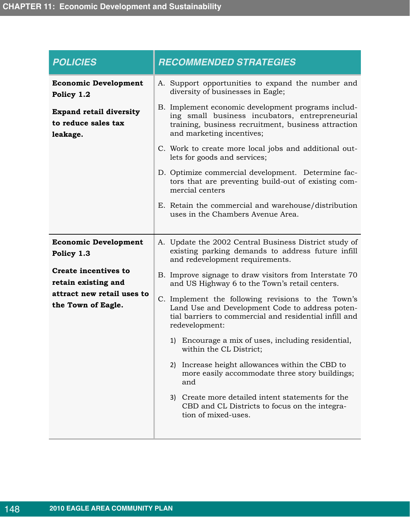| <b>POLICIES</b>                                                   | <b>RECOMMENDED STRATEGIES</b>                                                                                                                                                            |
|-------------------------------------------------------------------|------------------------------------------------------------------------------------------------------------------------------------------------------------------------------------------|
| <b>Economic Development</b><br>Policy 1.2                         | A. Support opportunities to expand the number and<br>diversity of businesses in Eagle;                                                                                                   |
| <b>Expand retail diversity</b><br>to reduce sales tax<br>leakage. | B. Implement economic development programs includ-<br>ing small business incubators, entrepreneurial<br>training, business recruitment, business attraction<br>and marketing incentives; |
|                                                                   | C. Work to create more local jobs and additional out-<br>lets for goods and services;                                                                                                    |
|                                                                   | D. Optimize commercial development. Determine fac-<br>tors that are preventing build-out of existing com-<br>mercial centers                                                             |
|                                                                   | E. Retain the commercial and warehouse/distribution<br>uses in the Chambers Avenue Area.                                                                                                 |
| <b>Economic Development</b><br>Policy 1.3                         | A. Update the 2002 Central Business District study of<br>existing parking demands to address future infill<br>and redevelopment requirements.                                            |
| <b>Create incentives to</b><br>retain existing and                | B. Improve signage to draw visitors from Interstate 70<br>and US Highway 6 to the Town's retail centers.                                                                                 |
| attract new retail uses to<br>the Town of Eagle.                  | C. Implement the following revisions to the Town's<br>Land Use and Development Code to address poten-<br>tial barriers to commercial and residential infill and<br>redevelopment:        |
|                                                                   | 1) Encourage a mix of uses, including residential,<br>within the CL District;                                                                                                            |
|                                                                   | 2) Increase height allowances within the CBD to<br>more easily accommodate three story buildings;<br>and                                                                                 |
|                                                                   | Create more detailed intent statements for the<br>3)<br>CBD and CL Districts to focus on the integra-<br>tion of mixed-uses.                                                             |
|                                                                   |                                                                                                                                                                                          |